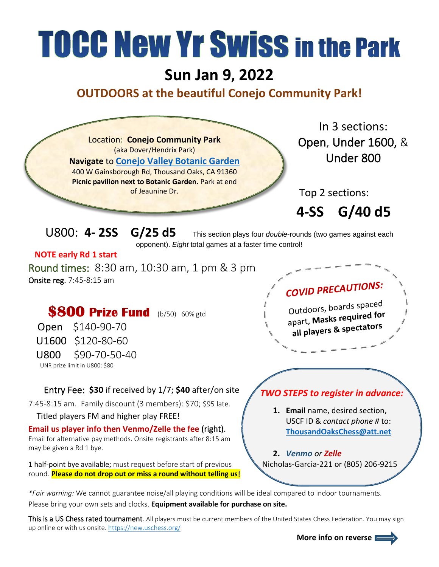## **TOCC New Yr Swiss in the Park**

## **Sun Jan 9, 2022**

## **OUTDOORS at the beautiful Conejo Community Park!**



*\*Fair warning:* We cannot guarantee noise/all playing conditions will be ideal compared to indoor tournaments. Please bring your own sets and clocks. **Equipment available for purchase on site.**

This is a US Chess rated tournament. All players must be current members of the United States Chess Federation. You may sign up online or with us onsite. https://new.uschess.org/

 **More info on reverse**